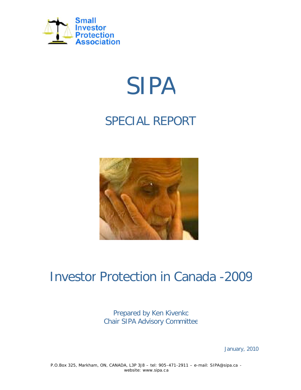

# SIPA

## SPECIAL REPORT



## Investor Protection in Canada -2009

Prepared by Ken Kivenko Chair SIPA Advisory Committee

January, 2010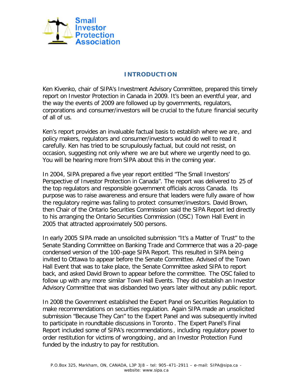

#### **INTRODUCTION**

Ken Kivenko, chair of SIPA's Investment Advisory Committee, prepared this timely report on Investor Protection in Canada in 2009. It's been an eventful year, and the way the events of 2009 are followed up by governments, regulators, corporations and consumer/investors will be crucial to the future financial security of all of us.

Ken's report provides an invaluable factual basis to establish where we are , and policy makers, regulators and consumer/investors would do well to read it carefully. Ken has tried to be scrupulously factual, but could not resist, on occasion, suggesting not only where we are but where we urgently need to go. You will be hearing more from SIPA about this in the coming year.

In 2004, SIPA prepared a five year report entitled "The Small Investors' Perspective of Investor Protection in Canada". The report was delivered to 25 of the top regulators and responsible government officials across Canada. Its purpose was to raise awareness and ensure that leaders were fully aware of how the regulatory regime was failing to protect consumer/investors. David Brown, then Chair of the Ontario Securities Commission said the SIPA Report led directly to his arranging the Ontario Securities Commission (OSC) Town Hall Event in 2005 that attracted approximately 500 persons.

In early 2005 SIPA made an unsolicited submission "It's a Matter of Trust" to the Senate Standing Committee on Banking Trade and Commerce that was a 20 -page condensed version of the 100-page SIPA Report. This resulted in SIPA bein g invited to Ottawa to appear before the Senate Committee. Advised of the Town Hall Event that was to take place, the Senate Committee asked SIPA to report back, and asked David Brown to appear before the committee. The OSC failed to follow up with any more similar Town Hall Events. They did establish an Investor Advisory Committee that was disbanded two years later without any public report.

In 2008 the Government established the Expert Panel on Securities Regulation to make recommendations on securities regulation. Again SIPA made an unsolicited submission "Because They Can" to the Expert Panel and was subsequently invited to participate in roundtable discussions in Toronto . The Expert Panel's Final Report included some of SIPA's recommendations , including regulatory power to order restitution for victims of wrongdoing , and an Investor Protection Fund funded by the industry to pay for restitution.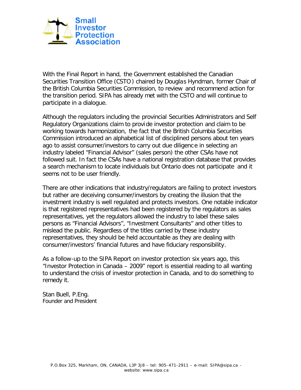

With the Final Report in hand, the Government established the Canadian Securities Transition Office (CSTO ) chaired by Douglas Hyndman, former Chair of the British Columbia Securities Commission, to review and recommend action for the transition period. SIPA has already met with the CSTO and will continue to participate in a dialogue.

Although the regulators including the provincial Securities Administrators and Self Regulatory Organizations claim to provi de investor protection and claim to be working towards harmonization, the fact that the British Columbia Securities Commission introduced an alphabetical list of disciplined persons about ten years ago to assist consumer/investors to carry out due diligenc e in selecting an industry labeled "Financial Advisor" (sales person) the other CSAs have not followed suit. In fact the CSAs have a national registration database that provides a search mechanism to locate individuals but Ontario does not participate and it seems not to be user friendly.

There are other indications that industry/regulators are failing to protect investors but rather are deceiving consumer/investors by creating the illusion that the investment industry is well regulated and protects investors. One notable indicator is that registered representatives had been registered by the regulators as sales representatives, yet the regulators allowed the industry to label these sales persons as "Financial Advisors", "Investment Consultants" and other titles to mislead the public. Regardless of the titles carried by these industry representatives, they should be held accountable as they are dealing with consumer/investors' financial futures and have fiduciary responsibility.

As a follow-up to the SIPA Report on investor protection six years ago, this "Investor Protection in Canada – 2009" report is essential reading to all wanting to understand the crisis of investor protection in Canada, and to do something to remedy it.

Stan Buell, P.Eng. Founder and President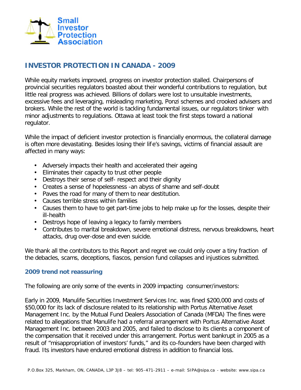

### **INVESTOR PROTECTION IN CANADA - 2009**

While equity markets improved, progress on investor protection stalled. Chairpersons of provincial securities regulators boasted about their wonderful contributions to regulation, but little real progress was achieved. Billions of dollars were lost to unsuitable investments, excessive fees and leveraging, misleading marketing, Ponzi schemes and crooked advisers and brokers. While the rest of the world is tackling fundamental issues, our regulators tinker with minor adjustments to regulations. Ottawa at least took the first steps toward a national regulator.

While the impact of deficient investor protection is financially enormous, the collateral damage is often more devastating. Besides losing their lif e's savings, victims of financial assault are affected in many ways:

- Adversely impacts their health and accelerated their ageing
- Eliminates their capacity to trust other people
- Destroys their sense of self- respect and their dignity
- Creates a sense of hopelessness -an abyss of shame and self-doubt •
- Paves the road for many of them to near destitution.
- Causes terrible stress within families •
- Causes them to have to get part-time jobs to help make up for the losses, despite their ill-health
- Destroys hope of leaving a legacy to family members
- Contributes to marital breakdown, severe emotional distress, nervous breakdowns, heart attacks, drug over-dose and even suicide.

We thank all the contributors to this Report and regret we could only cover a tiny fraction of the debacles, scams, deceptions, fiascos, pension fund collapses and injustices submitted.

#### **2009 trend not reassuring**

The following are only some of the events in 2009 impacting consumer/investors:

Early in 2009, Manulife Securities Investment Services Inc. was fined \$200,000 and costs of \$50,000 for its lack of disclosure related to its relationship with Portus Alternative Asset Management Inc. by the Mutual Fund Dealers Association of Canada (MFDA) The fines were related to allegations that Manulife had a referral arrangement with Portus Alternative Asset Management Inc. between 2003 and 2005, and failed to disclose to its clients a component of the compensation that it received under this arrangement. Portus went bankrupt in 2005 as a result of "misappropriation of investors' funds," and its co-founders have been charged with fraud. Its investors have endured emotional distress in addition to financial loss.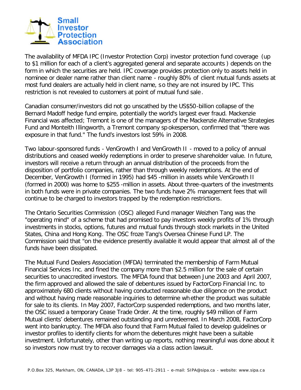

The availability of MFDA IPC (Investor Protection Corp) investor protection fund coverage (up to \$1 million for each of a client's aggregated general and separate accounts ) depends on the form in which the securities are held. IPC coverage provides protection only to assets held in nominee or dealer name rather than client name - roughly 80% of client mutual funds assets at most fund dealers are actually held in client name, so they are not insured by IPC. This restriction is not revealed to customers at point of mutual fund sale .

Canadian consumer/investors did not go unscathed by the US\$50-billion collapse of the Bernard Madoff hedge fund empire, potentially the world's largest ever fraud. Mackenzie Financial was affected; Tremont is one of the managers of the Mackenzie Alternative Strategies Fund and Monteith Illingworth, a Tremont company sp okesperson, confirmed that "there was exposure in that fund." The fund's investors lost 59% in 2008.

Two labour-sponsored funds - VenGrowth I and VenGrowth II - moved to a policy of annual distributions and ceased weekly redemptions in order to preserve shareholder value. In future, investors will receive a return through an annual distribution of the proceeds from the disposition of portfolio companies, rather than through weekly redemptions. At the end of December, VenGrowth I (formed in 1995) had \$45 -million in assets while VenGrowth II (formed in 2000) was home to \$255 -million in assets. About three-quarters of the investments in both funds were in private companies. The two funds have 2% management fees that will continue to be charged to investors trapped by the redemption restrictions.

The Ontario Securities Commission (OSC) alleged Fund manager Weizhen Tang was the "operating mind" of a scheme that had promised to pay investors weekly profits of 1% through investments in stocks, options, futures and mutual funds through stock markets in the United States, China and Hong Kong. The OSC froze Tang's Oversea Chinese Fund LP. The Commission said that "on the evidence presently available it would appear that almost all of the funds have been dissipated.

The Mutual Fund Dealers Association (MFDA) terminated the membership of Farm Mutual Financial Services Inc. and fined the company more than \$2.5 million for the sale of certain securities to unaccredited investors. The MFDA found that between June 2003 and April 2007, the firm approved and allowed the sale of debentures issued by FactorCorp Financial Inc. to approximately 680 clients without having conducted reasonable due diligence on the product and without having made reasonable inquiries to determine wh ether the product was suitable for sale to its clients. In May 2007, FactorCorp suspended redemptions, and two months later, the OSC issued a temporary Cease Trade Order. At the time, roughly \$49 million of Farm Mutual clients' debentures remained outstanding and unredeemed. In March 2008, FactorCorp went into bankruptcy. The MFDA also found that Farm Mutual failed to develop guidelines or investor profiles to identify clients for whom the debentures might have been a suitable investment. Unfortunately, other than writing up reports, nothing meaningful was done about it so investors now must try to recover damages via a class action lawsuit.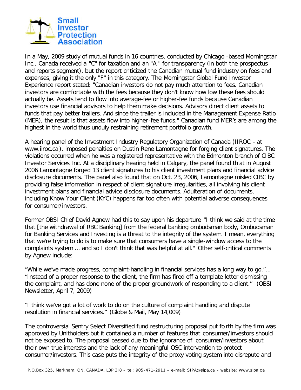

In a May, 2009 study of mutual funds in 16 countries, conducted by Chicago -based Morningstar Inc., Canada received a "C" for taxation and an "A " for transparency (in both the prospectus and reports segment), but the report criticized the Canadian mutual fund industry on fees and expenses, giving it the only "F" in this category. The Morningstar Global Fund Investor Experience report stated: "Canadian investors do not pay much attention to fees. Canadian investors are comfortable with the fees because they don't know how low these fees should actually be. Assets tend to flow into average-fee or higher-fee funds because Canadian investors use financial advisors to help them make decisions. Advisors direct client assets to funds that pay better trailers. And since the trailer is included in the Management Expense Ratio (MER), the result is that assets flow into higher-fee funds." Canadian fund MER's are among the highest in the world thus unduly restraining retirement portfolio growth.

A hearing panel of the Investment Industry Regulatory Organization of Canada (IIROC - at www.iiroc.ca ), imposed penalties on Dustin Rene Lamontagne for forging client signatures. The violations occurred when he was a registered representative with the Edmonton branch of CIBC Investor Services Inc. At a disciplinary hearing held in Calgary, the panel found th at in August 2006 Lamontagne forged 13 client signatures to his client investment plans and financial advice disclosure documents. The panel also found that on Oct. 23, 2006, Lamontagne misled CIBC by providing false information in respect of client signat ure irregularities, all involving his client investment plans and financial advice disclosure documents. Adulteration of documents, including Know Your Client (KYC) happens far too often with potential adverse consequences for consumer/investors.

Former OBSI Chief David Agnew had this to say upon his departure "I think we said at the time that [the withdrawal of RBC Banking] from the federal banking ombudsman body, Ombudsman for Banking Services and Investing is a threat to the integrity of the system. I mean, everything that we're trying to do is to make sure that consumers have a single-window access to the complaints system ... and so I don't think that was helpful at all." Other self-critical comments by Agnew include:

"While we've made progress, complaint-handling in financial services has a long way to go."... "Instead of a proper response to the client, the firm has fired off a template letter dismissing the complaint, and has done none of the proper groundwork of responding to a client." (OBSI Newsletter, April 7, 2009)

"I think we've got a lot of work to do on the culture of complaint handling and dispute resolution in financial services." (Globe & Mail, May 14,009)

The controversial Sentry Select Diversified fund restructuring proposal put fo rth by the firm was approved by Unitholders but it contained a number of features that consumer/investors should not be exposed to. The proposal passed due to the ignorance of consumer/investors about their own true interests and the lack of any meaningful OSC intervention to protect consumer/investors. This case puts the integrity of the proxy voting system into disrepute and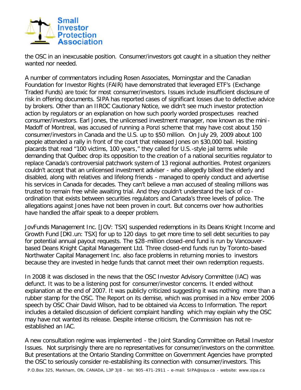

the OSC in an inexcusable position. Consumer/investors got caught in a situation they neither wanted nor needed.

A number of commentators including Rosen Associates, Morningstar and the Canadian Foundation for Investor Rights (FAIR) have demonstrated that leveraged ETF's (Exchange Traded Funds) are toxic for most consumer/investors. Issues include insufficient disclosure of risk in offering documents. SIPA has reported cases of significant losses due to defective advice by brokers. Other than an IIROC Cautionary Notice, we didn't see much investor protection action by regulators or an explanation on how such poorly worded prospectuses reached consumer/investors. Earl Jones, the unlicensed investment manager, now known as the mini-Madoff of Montreal, was accused of running a Ponzi scheme that may have cost about 150 consumer/investors in Canada and the U.S. up to \$50 million. On July 29, 2009 about 100 people attended a rally in front of the court that released Jones on \$30,000 bail. Hoisting placards that read "100 victims, 100 years," they called for U.S.-style jail terms while demanding that Québec drop its opposition to the creation o f a national securities regulator to replace Canada's controversial patchwork system of 13 regional authorities. Protest organizers couldn't accept that an unlicensed investment adviser - who allegedly bilked the elderly and disabled, along with relatives and lifelong friends - managed to openly conduct and advertise his services in Canada for decades. They can't believe a man accused of stealing millions was trusted to remain free while awaiting trial. And they couldn't understand the lack of co ordination that exists between securities regulators and Canada's three levels of police. The allegations against Jones have not been proven in court. But concerns over how authorities have handled the affair speak to a deeper problem.

JovFunds Management Inc. [JOV: TSX] suspended redemptions in its Deans Knight Income and Growth Fund [DKI.un: TSX] for up to 120 days to get more time to sell debt securities to pay for potential annual payout requests. The \$28 -million closed-end fund is run by Vancouverbased Deans Knight Capital Management Ltd. Three closed-end funds run by Toronto-based Northwater Capital Management Inc. also face problems in returning monies to investors because they are invested in hedge funds that cannot meet their own redemption requests.

In 2008 it was disclosed in the news that the OSC Investor Advisory Committee (IAC) was defunct. It was to be a listening post for consumer/investor concerns. It ended without explanation at the end of 2007. It was publicly criticized suggesting it was nothing more than a rubber stamp for the OSC. The Report on its demise, which was promised in a Nov ember 2006 speech by OSC Chair David Wilson, had to be obtained via Access to Information. The report includes a detailed discussion of deficient complaint handling which may explain why the OSC may have not wanted its release. Despite intense criticism, the Commission has not reestablished an IAC.

A new consultation regime was implemented - the Joint Standing Committee on Retail Investor Issues. Not surprisingly there are no representatives for consumer/investors on the committee. But presentations at the Ontario Standing Committee on Government Agencies have prompted the OSC to seriously consider re-establishing its connection with consumer/investors. This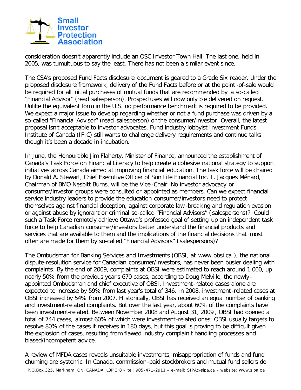

consideration doesn't apparently include an OSC Investor Town Hall. The last one, held in 2005, was tumultuous to say the least. There has not been a similar event since.

The CSA's proposed Fund Facts disclosure document is geared to a Grade Six reader. Under the proposed disclosure framework, delivery of the Fund Facts before or at the point -of-sale would be required for all initial purchases of mutual funds that are recommended by a so-called "Financial Advisor" (read salesperson). Prospectuses will now only b e delivered on request. Unlike the equivalent form in the U.S. no performance benchmark is required to be provided. We expect a major issue to develop regarding whether or not a fund purchase was driven by a so-called "Financial Advisor" (read salesperson) or the consumer/investor. Overall, the latest proposal isn't acceptable to investor advocates. Fund industry lobbyist Investment Funds Institute of Canada (IFIC) still wants to challenge delivery requirements and continue talks though it's been a decade in incubation.

In June, the Honourable Jim Flaherty, Minister of Finance, announced the establishment of Canada's Task Force on Financial Literacy to help create a cohesive national strategy to support initiatives across Canada aimed at improving financial education. The task force will be chaired by Donald A. Stewart, Chief Executive Officer of Sun Life Financial Inc. L. Jacques Ménard, Chairman of BMO Nesbitt Burns, will be the Vice -Chair. No investor advocacy or consumer/investor groups were consulted or appointed as members. Can we expect financial service industry leaders to provide the education consumer/investors need to protect themselves against financial deception, against corporate law -breaking and regulation evasion or against abuse by ignorant or criminal so-called "Financial Advisors" ( salespersons)? Could such a Task Force remotely achieve Ottawa's professed goal of setting up an independent task force to help Canadian consumer/investors better understand the financial products and services that are available to them and the implications of the financial decisions that most often are made for them by so-called "Financial Advisors" ( salespersons)?

The Ombudsman for Banking Services and Investments (OBSI, at www.obsi.ca ), the national dispute-resolution service for Canadian consumer/investors, has never been busier dealing with complaints. By the end of 2009, complaints at OBSI were estimated to reach around 1,000, up nearly 50% from the previous year's 670 cases, according to Doug Melville, the newly appointed Ombudsman and chief executive of OBSI. Investment-related cases alone are expected to increase by 59% from last year's total of 346. In 2008, investment-related cases at OBSI increased by 54% from 2007. H istorically, OBSI has received an equal number of banking and investment-related complaints. But over the last year, about 60% of the complaints have been investment-related. Between November 2008 and August 31, 2009 , OBSI had opened a total of 744 cases, almost 60% of which were investment-related ones. OBSI usually targets to resolve 80% of the cases it receives in 180 days, but this goal is proving to be difficult given the explosion of cases, resulting from flawed industry complain t handling processes and biased/incompetent advice.

P.O.Box 325, Markham, ON, CANADA, L3P 3J8 – tel: 905-471-2911 – e-mail: SIPA@sipa.ca - website: www.sipa.ca A review of MFDA cases reveals unsuitable investments, misappropriation of funds and fund churning are systemic. In Canada, commission-paid stockbrokers and mutual fund sellers do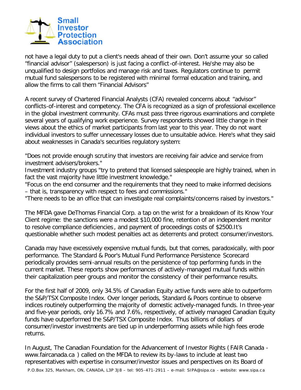

not have a legal duty to put a client's needs ahead of their own. Don't assume your so called "financial advisor" (salesperson) is just facing a conflict-of-interest. He/she may also be unqualified to design portfolios and manage risk and taxes. Regulators continue to permit mutual fund salespersons to be registered with minimal formal education and training, and allow the firms to call them "Financial Advisors"

A recent survey of Chartered Financial Analysts (CFA) revealed concerns about "advisor" conflicts-of-interest and competency. The CFA is recognized as a sign of professional excellence in the global investment community. CFAs must pass three rigorous examinations and complete several years of qualifying work experience. Survey respondents showed little change in their views about the ethics of market participants from last year to this year. They do not want individual investors to suffer unnecessary losses due to unsuitable advice. Here's what they said about weaknesses in Canada's securities regulatory system:

"Does not provide enough scrutiny that investors are receiving fair advice and service from investment advisers/brokers."

Investment industry groups "try to pretend that licensed salespeople are highly trained, when in fact the vast majority have little investment knowledge."

"Focus on the end consumer and the requirements that they need to make informed decisions – that is, transparency with respect to fees and commissions."

"There needs to be an office that can investigate real complaints/concerns raised by investors."

The MFDA gave DeThomas Financial Corp. a tap on the wrist for a breakdown of its Know Your Client regime: the sanctions were a modest \$10,000 fine, retention of an independent monitor to resolve compliance deficiencies , and payment of proceedings costs of \$2500.It's questionable whether such modest penalties act as deterrents and protect consumer/investors.

Canada may have excessively expensive mutual funds, but that comes, paradoxically, with poor performance. The Standard & Poor's Mutual Fund Performance Persistence Scorecard periodically provides semi-annual results on the persistence of top performing funds in the current market. These reports show performances of actively-managed mutual funds within their capitalization peer groups and monitor the consistency of their performance results.

For the first half of 2009, only 34.5% of Canadian Equity active funds were able to outperform the S&P/TSX Composite Index. Over longer periods, Standard & Poors continue to observe indices routinely outperforming the majority of domestic actively-managed funds. In three-year and five-year periods, only 16.7% and 7.6%, respectively, of actively managed Canadian Equity funds have outperformed the S&P/TSX Composite Index. Thus billions of dollars of consumer/investor investments are tied up in underperforming assets while high fees erode returns.

In August, The Canadian Foundation for the Advancement of Investor Rights ( FAIR Canada www.faircanada.ca ) called on the MFDA to review its by-laws to include at least two representatives with expertise in consumer/investor issues and perspectives on its Board of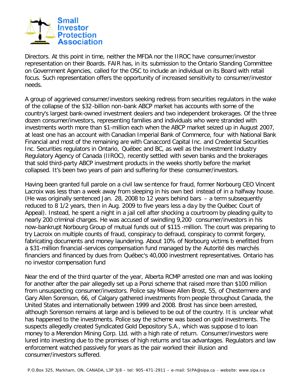

Directors. At this point in time, neither the MFDA nor the IIROC have consumer/investor representation on their Boards. FAIR has, in its submission to the Ontario Standing Committee on Government Agencies, called for the OSC to include an individual on its Board with retail focus. Such representation offers the opportunity of increased sensitivity to consumer/investor needs.

A group of aggrieved consumer/investors seeking redress from securities regulators in the wake of the collapse of the \$32 -billion non-bank ABCP market has accounts with some of the country's largest bank-owned investment dealers and two independent brokerages. Of the three dozen consumer/investors, representing families and individuals who were stranded with investments worth more than \$1-million each when the ABCP market seized up in August 2007, at least one has an account with Canadian Imperial Bank of Commerce, four with National Bank Financial and most of the remaining are with Canaccord Capital Inc. and Credential Securities Inc. Securities regulators in Ontario, Québec and BC, as well as the Investment Industry Regulatory Agency of Canada (IIROC), recently settled with seven banks and the brokerages that sold third-party ABCP investment products in the weeks shortly before the market collapsed. It's been two years of pain and suffering for these consumer/investors.

Having been granted full parole on a civil law se ntence for fraud, former Norbourg CEO Vincent Lacroix was less than a week away from sleeping in his own bed instead of in a halfway house. (He was originally sentenced Jan. 28, 2008 to 12 years behind bars – a term subsequently reduced to 8 1/2 years, then in Aug. 2009 to five years less a da y by the Québec Court of Appeal). Instead, he spent a night in a jail cell after shocking a courtroom by pleading guilty to nearly 200 criminal charges. He was accused of swindling 9,200 consumer/investors in his now-bankrupt Norbourg Group of mutual funds out of \$115 -million. The court was preparing to try Lacroix on multiple counts of fraud, conspiracy to defraud, conspiracy to commit forgery, fabricating documents and money laundering. About 10% of Norbourg victims b enefitted from a \$31-million financial-services compensation fund managed by the Autorité des marchés financiers and financed by dues from Québec's 40,000 investment representatives. Ontario has no investor compensation fund

Near the end of the third quarter of the year, Alberta RCMP arrested one man and was looking for another after the pair allegedly set up a Ponzi scheme that raised more than \$100 million from unsuspecting consumer/investors. Police say Milowe Allen Brost, 55, of Chestermere and Gary Allen Sorenson, 66, of Calgary gathered investments from people throughout Canada, the United States and internationally between 1999 and 2008. Brost has since been arrested, although Sorenson remains at large and is believed to be out of the country. It is unclear what has happened to the investments. Police say the scheme was based on gold investments. The suspects allegedly created Syndicated Gold Depository S.A., which was suppose d to loan money to a Merendon Mining Corp. Ltd. with a high rate of return. Consumer/investors were lured into investing due to the promises of high returns and tax advantages. Regulators and law enforcement watched passively for years as the pair worked their illusion and consumer/investors suffered.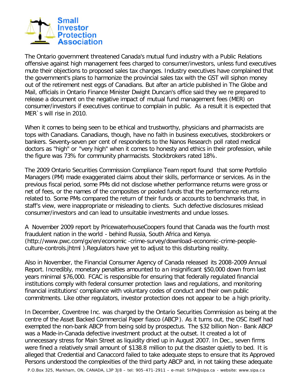

The Ontario government threatened Canada's mutual fund industry with a Public Relations offensive against high management fees charged to consumer/investors, unless fund executives mute their objections to proposed sales tax changes. Industry executives have complained that the government's plans to harmonize the provincial sales tax with the GST will siphon money out of the retirement nest eggs of Canadians. But after an article published in The Globe and Mail, officials in Ontario Finance Minister Dwight Duncan's office said they we re prepared to release a document on the negative impact of mutual fund management fees (MER) on consumer/investors if executives continue to complain in public. As a result it is expected that MER`s will rise in 2010.

When it comes to being seen to be ethical and trustworthy, physicians and pharmacists are tops with Canadians. Canadians, though, have no faith in business executives, stockbrokers or bankers. Seventy-seven per cent of respondents to the Nanos Research poll rated medical doctors as "high" or "very high" when it comes to honesty and ethics in their profession, while the figure was 73% for community pharmacists. Stockbrokers rated 18%.

The 2009 Ontario Securities Commission Compliance Team report found that some Portfolio Managers (PM) made exaggerated claims about their skills, performance or services. As in the previous fiscal period, some PMs did not disclose whether performance returns were gross or net of fees, or the names of the composites or pooled funds that the performance returns related to. Some PMs compared the return of their funds or accounts to benchmarks that, in staff's view, were inappropriate or misleading to clients. Such defective disclosures mislead consumer/investors and can lead to unsuitable investments and undue losses.

A November 2009 report by PricewaterhouseCoopers found that Canada was the fourth most fraudulent nation in the world - behind Russia, South Africa and Kenya. (http://www.pwc.com/gx/en/economic -crime-survey/download-economic-crime-peopleculture-controls.jhtml ).Regulators have yet to adjust to this disturbing reality.

Also in November, the Financial Consumer Agency of Canada released its 2008-2009 Annual Report. Incredibly, monetary penalties amounted to an insignificant \$50,000 down from last years minimal \$76,000. FCAC is responsible for ensuring that federally regulated financial institutions comply with federal consumer protection laws and regulations, and monitoring financial institutions' compliance with voluntary codes of conduct and their own public commitments. Like other regulators, investor protection does not appear to be a high priority.

In December, Coventree Inc. was charged by the Ontario Securities Commission as being at the centre of the Asset Backed Commercial Paper fiasco (ABCP ). As it turns out, the OSC itself had exempted the non-bank ABCP from being sold by prospectus. The \$32 billion Non - Bank ABCP was a Made-in-Canada defective investment product at the outset. It created a lot of unnecessary stress for Main Street as liquidity dried up in August 2007. In Dec., seven firms were fined a relatively small amount of \$138.8 million to put the disaster quietly to bed. It is alleged that Credential and Canaccord failed to take adequate steps to ensure that its Approved Persons understood the complexities of the third party ABCP and, in not taking these adequate